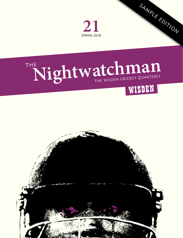

# THE Nightwatchman



SAMPLE EDITION

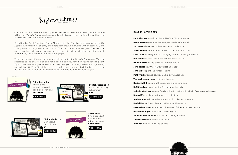

Cricket's past has been enriched by great writing and Wisden is making sure its future will be too. *The Nightwatchman* is a quarterly collection of essays and long-form articles and is available in print and e-book formats.

Co-edited by Anjali Doshi and Tanya Aldred, with Matt Thacker as managing editor, *The Nightwatchman* features an array of authors from around the world, writing beautifully and at length about the game and its myriad offshoots. Contributors are given free rein over subject matter and length, escaping the pressures of next-day deadlines and the despair of cramming heart and soul into a few paragraphs.

There are several different ways to get hold of and enjoy *The Nightwatchman*. You can subscribe to the print version and get a free digital copy for when you're travelling light. If you don't have enough room on your book case, you can always take out a digital-only subscription. Or if you'd just like to buy a single issue – in print, digital or both – you can do that too. Take a look at the options below and decide which is best for you.





**Digital subscription** Annual e-book only subscription

[Click to Buy](http://www.thenightwatchman.net/buy/product-category/subscriptions)



# **Digital single copy** Single issue (e-book only)

**£4** [Click to Buy](http://www.thenightwatchman.net/buy/product-category/single-issues)



**21**

**Single copy** Single issue (with free with free e-book version) **£10 (+P&P)**

# [Click to Buy](http://www.thenightwatchman.net/buy/product-category/single-issues)

## **ISSUE 21 – SPRING 2018**

**Matt Thacker** introduces issue 21 of the *Nightwatchman* **Harry Pearson** presents the waggiest fielder of them all **Jon Harvey** breathes his brother's sporting legacy **Steve Menary** laments the demise of cricket in Morocco **Kate Laven** investigates the changing path to cricket journalism **Ben Jones** explores the noise that defines a season **Paul Edwards** on the glorious summer of 1976 **John Taylor** saw Wally Grout's lasting legacy **John Crace** spent the winter reading **Matt Thacker** sends back some holiday snapshots **The dashing glovemen** – finders keepers **Benjamin Brill** on when the past was a long time ago **Raf Nicholson** examines the father-daughter axis **Isabelle Westbury** looks at English cricket's relationship with its South Asian diaspora **Donald Zec** on living in the nervous nineties **Andy Donley** asks whether the spirit of cricket still matters **Daniel Rey** explores his grandfather's wartime game **Dave Edmundson** recalls the golden age of the Lancashire League **Peter Prendergast** on cricket's selfish gene **Samanth Subramanian** is an Indian playing in Ireland **Jonathan Rice** recalls his sushi years **Alex Book** on life, love and cricket

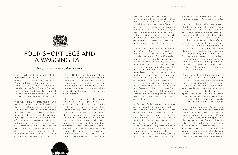

# FOUR SHORT LEGS AND A WAGGING TAIL

# *Harry Pearson on the dog days of cricket*

People will speak in wonder of the outfielding of Derek Randall, Jonty Rhodes or perhaps even of Colin Bland, but by far the greatest cover I ever saw was a short, stocky, greybearded fellow from County Durham. He rejoiced under the unlikely name of Charlemagne Commondale, but was known to teammates simply as Ingo.

Ingo was so swift across the ground he could be entrusted with patrolling the entire off side between point and mid off. His lack of height helped him to scoop up even the most firmly struck drive, while his gravitydefying leaps into the air saw him pull off many an outrageous catch. No batsman dared chance a second run to Commondale; his return – always to the bowler's end – was swift and deadly accurate largely because he eschewed throwing the ball in favour of sprinting to the stumps with it full tilt. He had the stamina to keep going all day long, his concentration never wavered. Despite the fact that he couldn't bowl and had not the faintest idea even how to hold a bat he was considered by one and all to be worth a place in any side for his fielding alone.

I had known Ingo since he was a nipper and took a proud paternal attitude to him. It would be nice to think that his brilliance as an outfielder was somehow picked up from me. Yet while it is true I had helped hone his skills by throwing a powerball against an uneven sandstone wall for him to catch for hours on end during long summer evenings, the fact was that his talents – the judgment of angles and distances, the speed across the ground, the unwavering focus and unquenchable stamina – were purely genetic. His ancestors, originally from

the hills of Southern Germany, had for centuries plied their trade as livestock herders and rat-catchers. It was in his blood. Ingo, you see, was a Standard Schnauzer. He was by far the greatest cricketing dog I have ever played alongside. And there have been many. Indeed, during days out with friends on the Northumberland coast in the early years of parenthood we could often field an entire XI of them.

Ingo's oldest friend, Stanley, a cavalier King Charles Spaniel, was a patrician feature of our team. Like a blueblooded amateur of the Edwardian era, Stanley refused to run or jump. Instead he stood at first slip, a position from which he surveyed proceedings with the barely disguised aristocratic disgust of one who should rightfully have been sitting in the lap of a perfumed courtesan in a luxurious carriage trotting through the streets of a bustling city rather than standing in the lashing wind on a northern beach. Whenever the ball came near him, Stanley flinched, not I think from fear, but from revulsion at its vulgarity. Stanley did not bring much to the team playing-wise, but he certainly added tone.

A Border Collie named Jess was another regular in our starting lineup. Jess was quick and active, yet essentially useless, except when the pre-school members of the fielding side decided that standing around waiting for the ball was totally boring and it would be far more fun to discover what getting washed out to sea felt like. At which point Jess would plunge into the waves after them and drive them back to the shore, barking and occasionally snapping at their

ankles – how Trevor Bayliss could have used Jess in Australia this winter.

My first cricketing dog was a West Highland Terrier who came from Berwick Hills on Teesside. He had short legs, several missing teeth and a minatory attitude that often ended in violence. He answered to Doogie, but his character and his preferred position of wicket-keeper led my friends and I to nickname him Rodney in honour of the great Australian stumper. It should be said, however, that though they shared many traits, Rodney Marsh never bit my father's thumb when he tried to take away the ham bone he was chewing under our dining-room table. Although I don't doubt that he would have done had the situation arisen.

Doogie's position behind the stumps was less to do with his talents than because it afforded him a good view out of the garden gate, the better for yapping at postmen, door-to-door salespeople and anyone else who threatened to violate his personal space. Occasionally a delivery would beat the bat and rebound back onto the stumps off his rump, allowing us to mark the wicket down as a stumping.

In an attempt to interest Doogie more in the game I once experimented by rubbing the ball with a beef-stock cube. It worked, rather too well. Prising the meaty cherry from his grasp was like trying to get Dennis Lillee to relinquish the ball when he was on a hat-trick against England at the WACA. Although to be fair I expect even DK would have stopped short of burying the ball under a rose bush and snarling if Ian Chappell went within a yard of it.

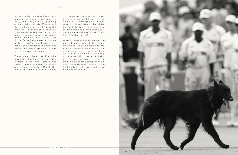• • •

My auntie Bertha's dog Rascal also made a contribution to our games in the garden, though mainly by peeing on a length just outside off stump and then scuffing it up with his powerful back legs, after the style of fellow Yorkshireman Bobby Peel. More than once the umpires warned him about his behaviour, but since he was a Jack Russell Terrier he took even less notice of them than Peel himself would have done. Local knowledge dictated that the minute Rascal appeared it was time to bring on the spinner.

There were others too: Fred the psychotic Lakeland Terrier who refused to wait until victory was sealed before grabbing a stump and running off with it; Bungle the Basset Hound who prevented dozens of boundaries one afternoon simply by lying down and falling asleep at midwicket; Misky the golden Labrador who contributed little to the cricket but could be relied on at the close to howl along semi-melodically to a harmonica rendition of Booker T and the MG's "Soul Limbo".

When it came to actually playing the game, though, none of them could match Ingo. What a fieldsman he was. Any captain would have wanted him in their side. Indeed, had it not been for an unfortunate habit of attempting to have sex with spectators during play he would certainly have been a multi-million-dollar signing for an IPL franchise. And yes, I know what you're thinking, but I reckon we should leave Shane Warne out of this.

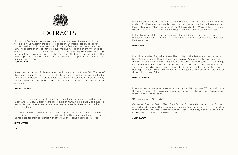

# EXTRACTS

RI'd do it in Dan's memory, to celebrate our unalloyed love of every sport in the world and wrap myself in the comfort blanket of our shared passion, as I began something that should have been unthinkable: my first sporting adventure without him. The spectre of grief still towered over me, but instead of allowing myself to be dominated by the past, perhaps I could use it to help chart my days ahead and keep my head from dipping too low. Over the next 12 months I wasn't just going to be the avid supporter I've always been. Now I needed sport to support me. And this is how I found myself at Lord's

# **JON HARVEY**

• • •

Sheep roam in the nets. A piece of heavy machinery squats on the outfield. The rest of the pitch is dug up or concreted over. Like the game of cricket in Soussi's country, the Tangier Oval is derelict. The unlikely but sad tale of Moroccan cricket involves tragedy, World Cup winners, millions of dollars of wasted investment and, ultimately, the death of a dream.

## **STEVE MENARY**

• • •

Look around any international cricket press box these days and you will see pretty much what you saw a zillion years ago. A type of white, middle-class, well-educated, highly intelligent male who at some stage may have worried their mothers with a mild strain of autism.

Their heads will be bowed over laptops and they will be in a cricket bubble, entranced by a daily dose of repetitive patterns and statistics. They may seem tense but there is no real need for them to interact with others. So they don't, until food is served.

# **KATE LAVEN**

#### • • •

Hovering over its head at all times, the men's game is weighed down by history. The anxiety of influence looms large, blown up by the cynicism of voices with overs in their legs. Stokes is no Botham. Lyon is no Warne. Kohli is no Sachin. Where's Lillee? Thommo? Miandad? Wasim? Gavaskar? Waqar? Waugh? Border? Willis? Bedser? Holding?

In the shadow of all this history – just one bloody thing after another – distinct, sharp moments are harder to achieve. Their excellence comes with caveats. Best since then. Best since them.

#### **BEN JONES**

• • •

I could have asked Reg what it was like to play in the Test where Len Hutton and Denis Compton made their first centuries against Australia. Hedley Verity played in that match, as did Bill OReilly. I might have asked about Stan McCabe's 232, an innings so fine that Bradman called his players onto the balcony at Nottingham to watch it. I should have asked about playing county cricket in the same side as Wally Hammond or bowling in tandem with Charlie Parker, one of the game's few Bolsheviks. I did none of those things, none of them.

# **PAUL EDWARDS**

• • •

Presumably most spectators were as puzzled by the hiatus as I was. Why should it take this long to decide who was run out? What was, or was not, happening? Then someone in the Grand Stand called out:

# "Remember Wally Grout '64!"

Of course! The first Test of 1964. Trent Bridge. Titmus, called for a run by Boycott, collided with the bowler, Hawke, who was running to field the ball. With Titmus sprawling in mid-pitch, the ball was returned to wicket-keeper Grout who, in an act of exemplary sportsmanship, chose not to break the wicket.

## **JOHN TAYLOR**

• • •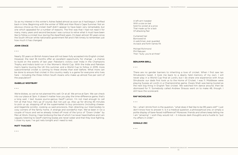THE NIGHTWATCHMAN

So as my interest in this winter's Ashes faded almost as soon as it had begun, I drifted back in time. Beginning with the winter of 1956 and Alan Ross's Cape Summer. Not an obvious choice as the cricket itself didn't appear to have been very remarkable, but one which appealed for a number of reasons. The first was that I had not read it for many, many years and second because I was curious to relive what it must have been like to follow a cricket tour during the Apartheid years. It's been almost 30 years since the South African white nationalist government fell and it felt timely to remember just how much it has changed.

# **JOHN CRACE**

#### • • •

Nearly 30 years on British Asians have still not been fully accepted into English cricket. However, the next 18 months offer an excellent opportunity for change – a chance to build on the events of last year: Pakistan's victory over India in the Champions Trophy and India's bold run in the Women's World Cup. With the India and Pakistan men's teams touring the UK this summer, and a World Cup to follow in 2019, more subcontinental cricket is coming to these shores than ever before. What more can be done to ensure that cricket in this country really is a game for everyone who lives here – including the three million South Asians who make up almost five per cent of the population?

# **ISABELLE WESTBURY**

#### • • •

We're blokes, so we've not planned this well. Or at all. We arrive at 5am. We can check into our place at 3pm. It doesn't matter how you play the time-difference game, that's a long wait. I text Aussie journo-genius Geoff Lemon. I'm not mad enough to call him at that hour. He's up of course. But not just up. Also up for driving 45 minutes to pick us up, stopping off at the supermarket to buy provisions (including cheeseand-Vegemite scrolls), cooking us said provisions, then directing our tired bodies to cosy corners of the family home. A strange and wonderful man. We've been in Oz a couple of hours and we've already ticked off most of the lyrics of "Down Under" by Men at Work. Dozing, I hear birdsong the like of which I've never heard before and I am vaguely listening to Geoff claiming koalas are never sober and that they love fighting. I close my eyes. I've got nets tonight and I need to rest.

# **MATT THACKER**

• • •

A left-arm tweaker With a size six bat Sold his wicket at a price That made up for a lack Of attacking flair

Curtained hair Borrowed kit A watchman, ever guarded As back and forth names flit

Michael Richmond Phil Rakusen Then "Sully: you're at three"

#### **BENJAMIN BRILL**

• • •

There are no gender barriers to inheriting a love of cricket. When I first saw Ian Shrubsole's tweet, it took me back to a dearly held memory of my own. I will never play in a World Cup final at Lord's, but I do share one experience with Anya Shrubsole: our dads first took us to the Home of Cricket. I was 11. Middlesex were playing Sussex at Lord's in a Championship game. Owais Shah was being touted as the next big thing in English Test cricket. We watched him dance around, then be dismissed for 11. Somebody called Andrew Strauss went on to make 48, though. I still have the scorecard.

# **RAF NICHOLSON**

• • •

No – what I shrink from is the question, "what does it feel like to be 99 years old?" I just don't know how to answer it. Is it a medical question, a philosophical one, or simply a polite display of bare-faced indifference? Moreover, friends and others keep telling me I am "amazing". I wish they would not – it induces dark thoughts and a hustle to "put my affairs in order".

# **DONALD ZEC**

• • •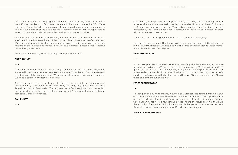One man well placed to pass judgment on the attitudes of young cricketers, in North West England at least, is Gary Yates, academy director at Lancashire CCC. Yates enjoyed a 12-year first-class career as an off-spinning allrounder and has gone on to fill a multitude of roles at the club since his retirement, working with young players as second XI captain, spin-bowling coach as well as in his current position.

"Traditional values are related to respect, and the respect is not there as much as it was," he told the Nightwatchman. "I think young players have a sense of entitlement. It's now more of a duty of the coaches and ex-players and current players to keep reinforcing these traditional values. It has to be a constant message that is passed down through the system."

But what is that message? What exactly is the spirit of cricket?

# **ANDY DONLEY**

#### • • •

Late one afternoon in 1944, Private Hugh Chamberlain of the Royal Engineers, stationed in Jerusalem, received an urgent summons. "Chamberlain," said the voice on the other end of the telephone line. "We're one short for tomorrow's game in Amman. We need a batsman. We leave at first light."

As the sun was rising in the Levant, 11 cricketers jumped into a military vehicle. Chaperoned by a convoy of trucks released by the army, they sped down the dusty Palestinian roads to Transjordan. The land was hardly flowing with milk and honey, but for those who made the trip, tea alone was worth it. "They were the most delicious ham sandwiches I've ever had."

# **DANIEL REY**

• • •

Collie Smith, Burnley's West Indian professional, is battling for his life today. He is in Stoke-on-Trent with a suspected spine fracture received in a car accident. Smith, who is 25, was travelling with two other West Indian cricketers, Tom Dewdney, Darwen's professional, and Garfield Sobers for Radcliffe, when their car was in a head-on crash with a cattle wagon near Stone.

Three days later the Telegraph revealed the full extent of the tragedy:

Tears were shed by many Burnley people, as news of the death of Collie Smith hit town. Round the bedside when he died were his three cricketing friends, Frank Worrell, Sonny Ramadhin and Cec Pepper.

#### **DAVE EDMUNDSON**

• • •

A couple of years back I received a call from one of my kids. He was outraged because he was down to bat at No.10. Never mind that he was an under-15 playing in an under-17 game. Or that he was a relative beginner, having taken up the sport a little more than a year earlier. He was boiling at the injustice of it, positively steaming, when all of a sudden there's a cheer in the background and he says: "Great, someone's out. At least that's one of them out of the way."

# **PETER PRENDERGAST**

• • •

Not long after moving to Ireland, it turned out, Brendan had found himself in a pub on 17 March 2007, when Ireland famously beat Pakistan in the World Cup. The uproar of cheer had been terrific, and Brendan found himself sucked in enough to start watching: an Ashes here, a few YouTube videos there, the usual stray hits that build the addiction. Then a friend told him about a club that played in an informal league in Dublin. He invited Brendan to join; now Brendan was inviting me.

# **SAMANTH SUBRAMANIAN**

• • •